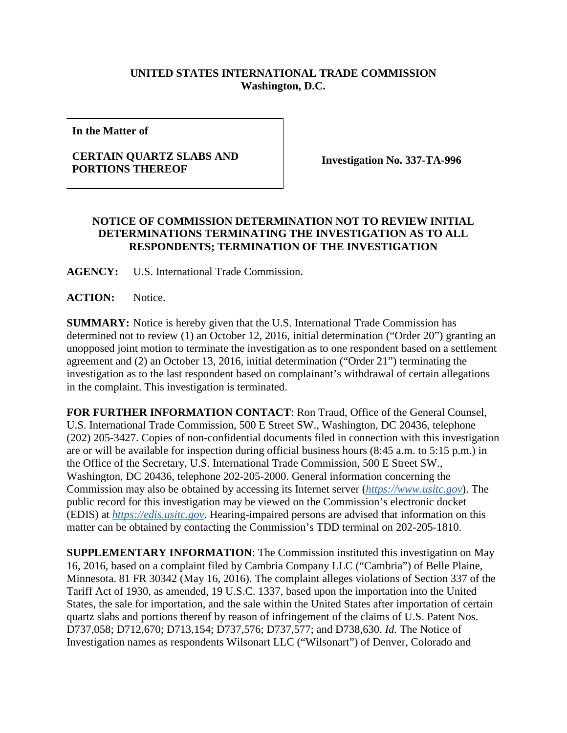## **UNITED STATES INTERNATIONAL TRADE COMMISSION Washington, D.C.**

**In the Matter of**

## **CERTAIN QUARTZ SLABS AND**

**Investigation No. 337-TA-996** 

## **NOTICE OF COMMISSION DETERMINATION NOT TO REVIEW INITIAL DETERMINATIONS TERMINATING THE INVESTIGATION AS TO ALL RESPONDENTS; TERMINATION OF THE INVESTIGATION**

**AGENCY:** U.S. International Trade Commission.

**ACTION:** Notice.

**SUMMARY:** Notice is hereby given that the U.S. International Trade Commission has determined not to review (1) an October 12, 2016, initial determination ("Order 20") granting an unopposed joint motion to terminate the investigation as to one respondent based on a settlement agreement and (2) an October 13, 2016, initial determination ("Order 21") terminating the investigation as to the last respondent based on complainant's withdrawal of certain allegations in the complaint. This investigation is terminated.

**FOR FURTHER INFORMATION CONTACT**: Ron Traud, Office of the General Counsel, U.S. International Trade Commission, 500 E Street SW., Washington, DC 20436, telephone (202) 205-3427. Copies of non-confidential documents filed in connection with this investigation are or will be available for inspection during official business hours (8:45 a.m. to 5:15 p.m.) in the Office of the Secretary, U.S. International Trade Commission, 500 E Street SW., Washington, DC 20436, telephone 202-205-2000. General information concerning the Commission may also be obtained by accessing its Internet server (*[https://www.usitc.gov](https://www.usitc.gov/)*). The public record for this investigation may be viewed on the Commission's electronic docket (EDIS) at *[https://edis.usitc.gov](https://edis.usitc.gov/)*. Hearing-impaired persons are advised that information on this matter can be obtained by contacting the Commission's TDD terminal on 202-205-1810.

**SUPPLEMENTARY INFORMATION**: The Commission instituted this investigation on May 16, 2016, based on a complaint filed by Cambria Company LLC ("Cambria") of Belle Plaine, Minnesota. 81 FR 30342 (May 16, 2016). The complaint alleges violations of Section 337 of the Tariff Act of 1930, as amended, 19 U.S.C. 1337, based upon the importation into the United States, the sale for importation, and the sale within the United States after importation of certain quartz slabs and portions thereof by reason of infringement of the claims of U.S. Patent Nos. D737,058; D712,670; D713,154; D737,576; D737,577; and D738,630. *Id.* The Notice of Investigation names as respondents Wilsonart LLC ("Wilsonart") of Denver, Colorado and